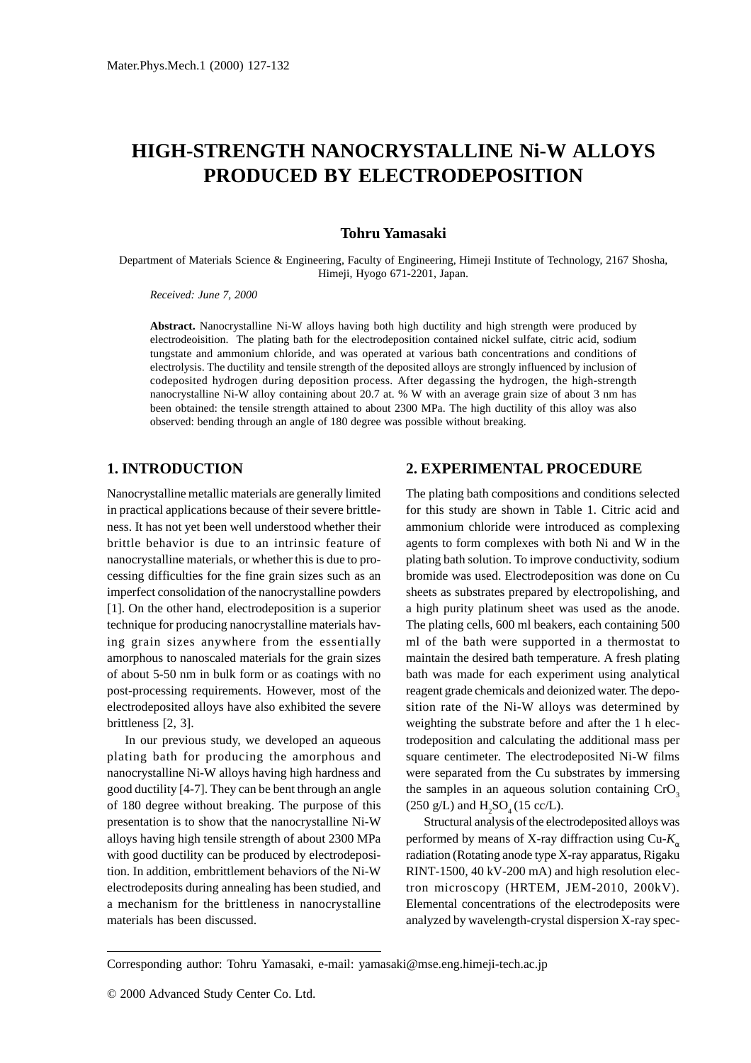# **HIGH-STRENGTH NANOCRYSTALLINE Ni-W ALLOYS PRODUCED BY ELECTRODEPOSITION**

## **Tohru Yamasaki**

Department of Materials Science & Engineering, Faculty of Engineering, Himeji Institute of Technology, 2167 Shosha, Himeji, Hyogo 671-2201, Japan.

*Received: June 7, 2000*

**Abstract.** Nanocrystalline Ni-W alloys having both high ductility and high strength were produced by electrodeoisition. The plating bath for the electrodeposition contained nickel sulfate, citric acid, sodium tungstate and ammonium chloride, and was operated at various bath concentrations and conditions of electrolysis. The ductility and tensile strength of the deposited alloys are strongly influenced by inclusion of codeposited hydrogen during deposition process. After degassing the hydrogen, the high-strength nanocrystalline Ni-W alloy containing about 20.7 at. % W with an average grain size of about 3 nm has been obtained: the tensile strength attained to about 2300 MPa. The high ductility of this alloy was also observed: bending through an angle of 180 degree was possible without breaking.

# **1. INTRODUCTION**

Nanocrystalline metallic materials are generally limited in practical applications because of their severe brittleness. It has not yet been well understood whether their brittle behavior is due to an intrinsic feature of nanocrystalline materials, or whether this is due to processing difficulties for the fine grain sizes such as an imperfect consolidation of the nanocrystalline powders [1]. On the other hand, electrodeposition is a superior technique for producing nanocrystalline materials having grain sizes anywhere from the essentially amorphous to nanoscaled materials for the grain sizes of about 5-50 nm in bulk form or as coatings with no post-processing requirements. However, most of the electrodeposited alloys have also exhibited the severe brittleness [2, 3].

In our previous study, we developed an aqueous plating bath for producing the amorphous and nanocrystalline Ni-W alloys having high hardness and good ductility [4-7]. They can be bent through an angle of 180 degree without breaking. The purpose of this presentation is to show that the nanocrystalline Ni-W alloys having high tensile strength of about 2300 MPa with good ductility can be produced by electrodeposition. In addition, embrittlement behaviors of the Ni-W electrodeposits during annealing has been studied, and a mechanism for the brittleness in nanocrystalline materials has been discussed.

# **2. EXPERIMENTAL PROCEDURE**

The plating bath compositions and conditions selected for this study are shown in Table 1. Citric acid and ammonium chloride were introduced as complexing agents to form complexes with both Ni and W in the plating bath solution. To improve conductivity, sodium bromide was used. Electrodeposition was done on Cu sheets as substrates prepared by electropolishing, and a high purity platinum sheet was used as the anode. The plating cells, 600 ml beakers, each containing 500 ml of the bath were supported in a thermostat to maintain the desired bath temperature. A fresh plating bath was made for each experiment using analytical reagent grade chemicals and deionized water. The deposition rate of the Ni-W alloys was determined by weighting the substrate before and after the 1 h electrodeposition and calculating the additional mass per square centimeter. The electrodeposited Ni-W films were separated from the Cu substrates by immersing the samples in an aqueous solution containing CrO<sub>3</sub> (250 g/L) and  $H_2SO_4(15 \text{ cc/L}).$ 

Structural analysis of the electrodeposited alloys was performed by means of X-ray diffraction using Cu-*K*<sup>α</sup> radiation (Rotating anode type X-ray apparatus, Rigaku RINT-1500, 40 kV-200 mA) and high resolution electron microscopy (HRTEM, JEM-2010, 200kV). Elemental concentrations of the electrodeposits were analyzed by wavelength-crystal dispersion X-ray spec-

Corresponding author: Tohru Yamasaki, e-mail: yamasaki@mse.eng.himeji-tech.ac.jp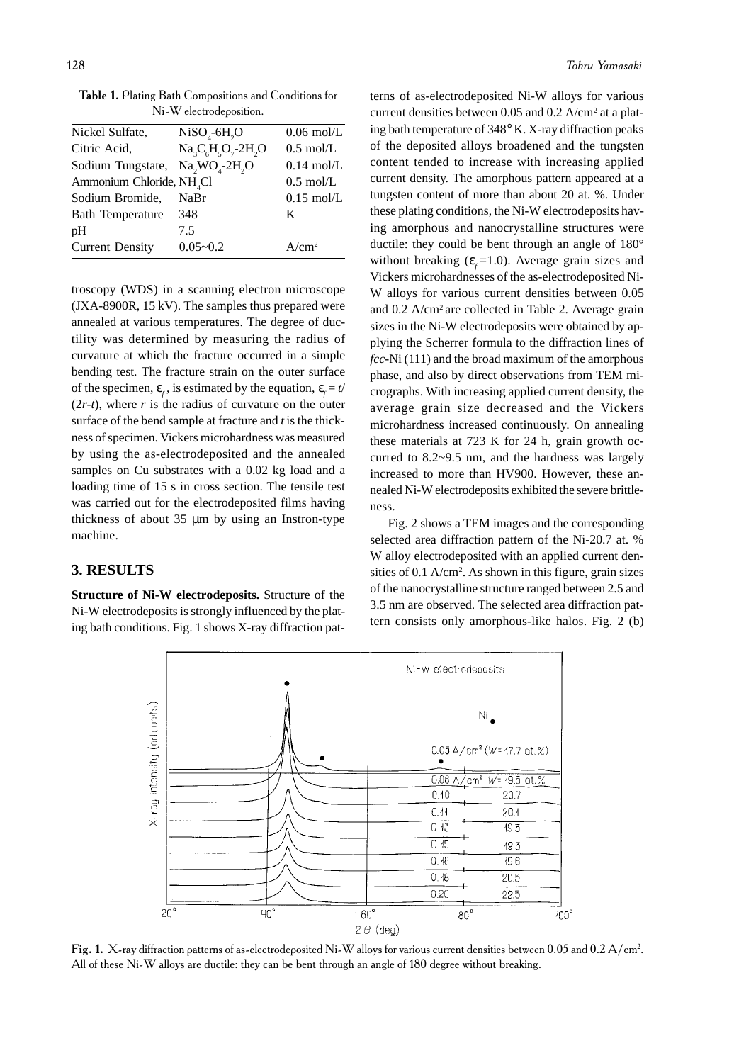| THE M CICLIDUC DUSILION.                                             |                    |                      |  |  |  |
|----------------------------------------------------------------------|--------------------|----------------------|--|--|--|
| Nickel Sulfate,                                                      | $NiSO4-6H2O$       | $0.06$ mol/L         |  |  |  |
| Citric Acid,                                                         | $Na3C6H5O7 - 2H2O$ | $0.5 \text{ mol/L}$  |  |  |  |
| Sodium Tungstate, Na <sub>2</sub> WO <sub>4</sub> -2H <sub>2</sub> O |                    | $0.14 \text{ mol/L}$ |  |  |  |
| Ammonium Chloride, NH <sub>4</sub> Cl                                |                    | $0.5 \text{ mol/L}$  |  |  |  |
| Sodium Bromide,                                                      | NaBr               | $0.15 \text{ mol/L}$ |  |  |  |
| <b>Bath Temperature</b>                                              | 348                | K                    |  |  |  |
| pH                                                                   | 7.5                |                      |  |  |  |

Current Density 0.05~0.2 A/cm2

Table 1. Plating Bath Compositions and Conditions for  $\mathbf{M}$ :  $\mathbf{W}$ ,  $\mathbf{I}$ ,  $\mathbf{I}$ ,  $\mathbf{I}$ ,  $\mathbf{I}$ ,  $\mathbf{I}$ ,  $\mathbf{I}$ ,  $\mathbf{I}$ .

troscopy (WDS) in a scanning electron microscope (JXA-8900R, 15 kV). The samples thus prepared were annealed at various temperatures. The degree of ductility was determined by measuring the radius of curvature at which the fracture occurred in a simple bending test. The fracture strain on the outer surface of the specimen,  $\varepsilon_f$ , is estimated by the equation,  $\varepsilon_f = t/$  $(2r-t)$ , where *r* is the radius of curvature on the outer surface of the bend sample at fracture and *t* is the thickness of specimen. Vickers microhardness was measured by using the as-electrodeposited and the annealed samples on Cu substrates with a 0.02 kg load and a loading time of 15 s in cross section. The tensile test was carried out for the electrodeposited films having thickness of about 35 µm by using an Instron-type machine.

#### **3. RESULTS**

**Structure of Ni-W electrodeposits.** Structure of the Ni-W electrodeposits is strongly influenced by the plating bath conditions. Fig. 1 shows X-ray diffraction pat-

terns of as-electrodeposited Ni-W alloys for various current densities between 0.05 and 0.2 A/cm2 at a plating bath temperature of 348° K. X-ray diffraction peaks of the deposited alloys broadened and the tungsten content tended to increase with increasing applied current density. The amorphous pattern appeared at a tungsten content of more than about 20 at. %. Under these plating conditions, the Ni-W electrodeposits having amorphous and nanocrystalline structures were ductile: they could be bent through an angle of 180° without breaking  $(\varepsilon_f=1.0)$ . Average grain sizes and Vickers microhardnesses of the as-electrodeposited Ni-W alloys for various current densities between 0.05 and 0.2 A/cm<sup>2</sup> are collected in Table 2. Average grain sizes in the Ni-W electrodeposits were obtained by applying the Scherrer formula to the diffraction lines of *fcc*-Ni (111) and the broad maximum of the amorphous phase, and also by direct observations from TEM micrographs. With increasing applied current density, the average grain size decreased and the Vickers microhardness increased continuously. On annealing these materials at 723 K for 24 h, grain growth occurred to 8.2~9.5 nm, and the hardness was largely increased to more than HV900. However, these annealed Ni-W electrodeposits exhibited the severe brittleness.

Fig. 2 shows a TEM images and the corresponding selected area diffraction pattern of the Ni-20.7 at. % W alloy electrodeposited with an applied current densities of 0.1 A/cm<sup>2</sup>. As shown in this figure, grain sizes of the nanocrystalline structure ranged between 2.5 and 3.5 nm are observed. The selected area diffraction pattern consists only amorphous-like halos. Fig. 2 (b)



Fig. 1. X-ray diffraction patterns of as-electrodeposited Ni-W alloys for various current densities between 0.05 and 0.2 A/cm<sup>2</sup>. All of these Ni-W alloys are ductile: they can be bent through an angle of 180 degree without breaking.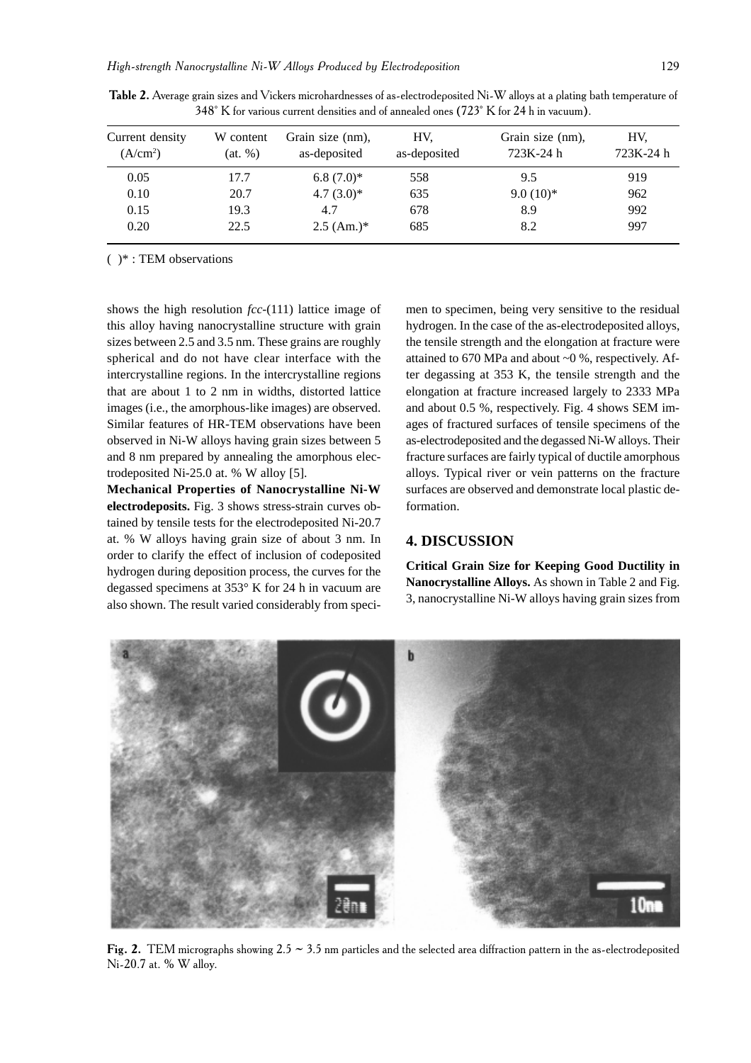| Current density<br>(A/cm <sup>2</sup> ) | W content<br>(at, %) | Grain size (nm),<br>as-deposited | HV.<br>as-deposited | Grain size (nm),<br>723K-24 h | HV.<br>723K-24 h |
|-----------------------------------------|----------------------|----------------------------------|---------------------|-------------------------------|------------------|
| 0.05                                    | 17.7                 | $6.8(7.0)*$                      | 558                 | 9.5                           | 919              |
| 0.10                                    | 20.7                 | $4.7(3.0)*$                      | 635                 | $9.0(10)*$                    | 962              |
| 0.15                                    | 19.3                 | 4.7                              | 678                 | 8.9                           | 992              |
| 0.20                                    | 22.5                 | $2.5$ (Am.)*                     | 685                 | 8.2                           | 997              |

Table 2. Average grain sizes and Vickers microhardnesses of as-electrodeposited Ni-W alloys at a plating bath temperature of 348° K for various current densities and of annealed ones (723° K for 24 h in vacuum).

( )\* : TEM observations

shows the high resolution *fcc*-(111) lattice image of this alloy having nanocrystalline structure with grain sizes between 2.5 and 3.5 nm. These grains are roughly spherical and do not have clear interface with the intercrystalline regions. In the intercrystalline regions that are about 1 to 2 nm in widths, distorted lattice images (i.e., the amorphous-like images) are observed. Similar features of HR-TEM observations have been observed in Ni-W alloys having grain sizes between 5 and 8 nm prepared by annealing the amorphous electrodeposited Ni-25.0 at. % W alloy [5].

**Mechanical Properties of Nanocrystalline Ni-W electrodeposits.** Fig. 3 shows stress-strain curves obtained by tensile tests for the electrodeposited Ni-20.7 at. % W alloys having grain size of about 3 nm. In order to clarify the effect of inclusion of codeposited hydrogen during deposition process, the curves for the degassed specimens at 353° K for 24 h in vacuum are also shown. The result varied considerably from specimen to specimen, being very sensitive to the residual hydrogen. In the case of the as-electrodeposited alloys, the tensile strength and the elongation at fracture were attained to 670 MPa and about ~0 %, respectively. After degassing at 353 K, the tensile strength and the elongation at fracture increased largely to 2333 MPa and about 0.5 %, respectively. Fig. 4 shows SEM images of fractured surfaces of tensile specimens of the as-electrodeposited and the degassed Ni-W alloys. Their fracture surfaces are fairly typical of ductile amorphous alloys. Typical river or vein patterns on the fracture surfaces are observed and demonstrate local plastic deformation.

## **4. DISCUSSION**

**Critical Grain Size for Keeping Good Ductility in Nanocrystalline Alloys.** As shown in Table 2 and Fig. 3, nanocrystalline Ni-W alloys having grain sizes from



Fig. 2. TEM micrographs showing 2.5  $\sim$  3.5 nm particles and the selected area diffraction pattern in the as-electrodeposited Ni-20.7 at. % W alloy.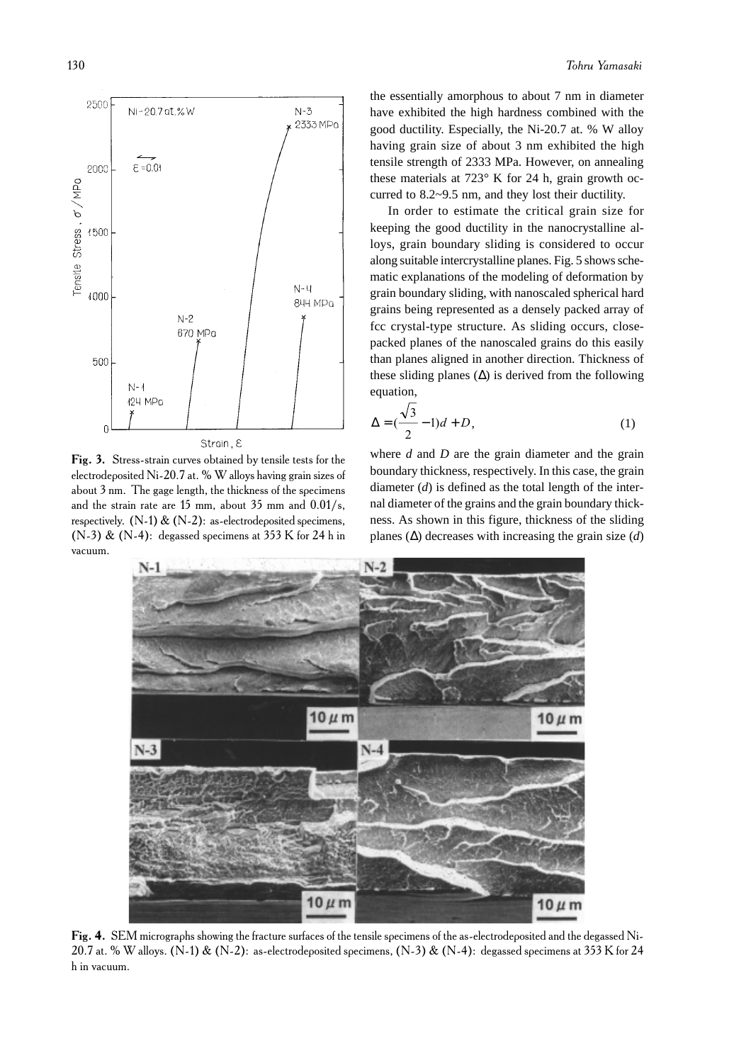

Fig. 3. Stress-strain curves obtained by tensile tests for the electrodeposited Ni-20.7 at. % W alloys having grain sizes of about 3 nm. The gage length, the thickness of the specimens and the strain rate are 15 mm, about 35 mm and  $0.01/s$ , respectively. (N-1) & (N-2): as-electrodeposited specimens, (N-3) & (N-4): degassed specimens at 353 K for 24 h in vacuum.

the essentially amorphous to about 7 nm in diameter have exhibited the high hardness combined with the good ductility. Especially, the Ni-20.7 at. % W alloy having grain size of about 3 nm exhibited the high tensile strength of 2333 MPa. However, on annealing these materials at 723° K for 24 h, grain growth occurred to 8.2~9.5 nm, and they lost their ductility.

In order to estimate the critical grain size for keeping the good ductility in the nanocrystalline alloys, grain boundary sliding is considered to occur along suitable intercrystalline planes. Fig. 5 shows schematic explanations of the modeling of deformation by grain boundary sliding, with nanoscaled spherical hard grains being represented as a densely packed array of fcc crystal-type structure. As sliding occurs, closepacked planes of the nanoscaled grains do this easily than planes aligned in another direction. Thickness of these sliding planes  $(∆)$  is derived from the following equation,

$$
\Delta = \left(\frac{\sqrt{3}}{2} - 1\right)d + D,\tag{1}
$$

where *d* and *D* are the grain diameter and the grain boundary thickness, respectively. In this case, the grain diameter (*d*) is defined as the total length of the internal diameter of the grains and the grain boundary thickness. As shown in this figure, thickness of the sliding planes (∆) decreases with increasing the grain size (*d*)



Fig. 4. SEM micrographs showing the fracture surfaces of the tensile specimens of the as-electrodeposited and the degassed Ni-20.7 at. % W alloys. (N-1) & (N-2): as-electrodeposited specimens, (N-3) & (N-4): degassed specimens at 353 K for 24 h in vacuum.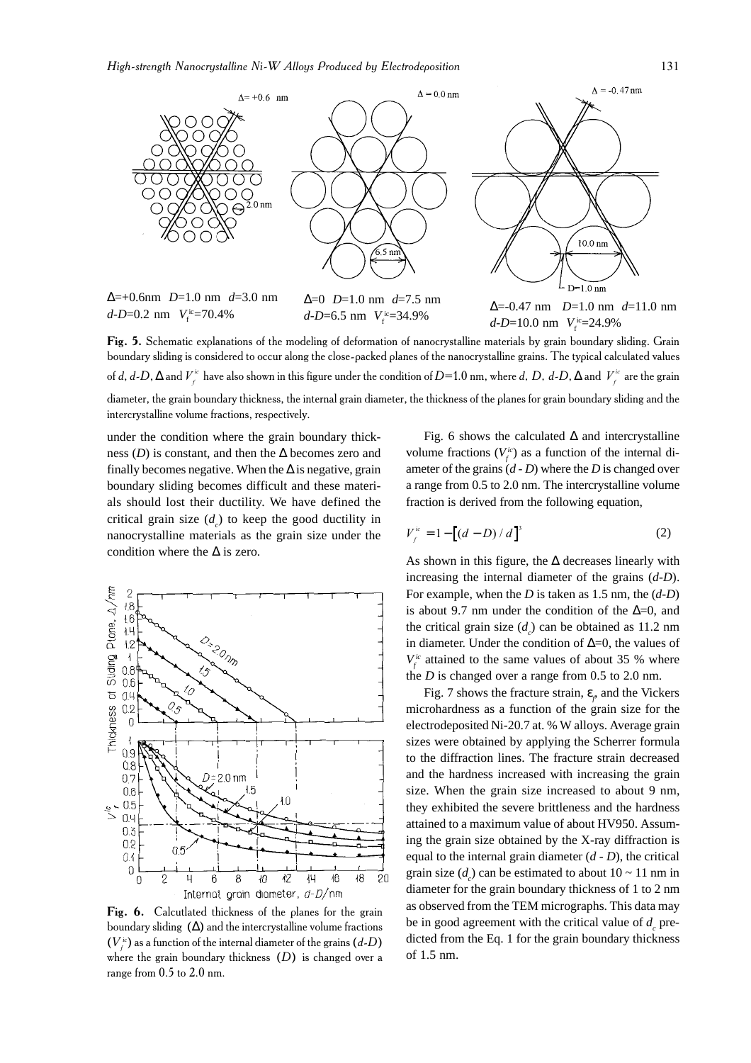

Fig. 5. Schematic explanations of the modeling of deformation of nanocrystalline materials by grain boundary sliding. Grain boundary sliding is considered to occur along the close-packed planes of the nanocrystalline grains. The typical calculated values of d, d-D,  $\Delta$  and  $V_f^{\text{ic}}$  have also shown in this figure under the condition of D=1.0 nm, where d, D, d-D,  $\Delta$  and  $\ {V_f^{\text{ic}}}$  are the grain diameter, the grain boundary thickness, the internal grain diameter, the thickness of the planes for grain boundary sliding and the intercrystalline volume fractions, respectively.

under the condition where the grain boundary thickness (*D*) is constant, and then the  $\Delta$  becomes zero and finally becomes negative. When the  $\Delta$  is negative, grain boundary sliding becomes difficult and these materials should lost their ductility. We have defined the critical grain size  $(d_c)$  to keep the good ductility in nanocrystalline materials as the grain size under the condition where the  $\Delta$  is zero.



Fig. 6. Calcutlated thickness of the planes for the grain boundary sliding  $(\Delta)$  and the intercrystalline volume fractions  $(V_{_f}^{\scriptscriptstyle{ic}})$  as a function of the internal diameter of the grains  $(d\text{-}D)$ where the grain boundary thickness  $(D)$  is changed over a range from  $0.5$  to  $2.0$  nm.

Fig. 6 shows the calculated  $\Delta$  and intercrystalline volume fractions  $(V_f^i)$  as a function of the internal diameter of the grains (*d - D*) where the *D* is changed over a range from 0.5 to 2.0 nm. The intercrystalline volume fraction is derived from the following equation,

$$
V_f^{ic} = 1 - [(d - D) / d]^3
$$
 (2)

As shown in this figure, the  $\Delta$  decreases linearly with increasing the internal diameter of the grains (*d-D*). For example, when the *D* is taken as 1.5 nm, the (*d-D*) is about 9.7 nm under the condition of the  $\Delta=0$ , and the critical grain size  $(d<sub>c</sub>)$  can be obtained as 11.2 nm in diameter. Under the condition of ∆=0, the values of  $V_f^i$  attained to the same values of about 35 % where the *D* is changed over a range from 0.5 to 2.0 nm.

Fig. 7 shows the fracture strain, ε*<sup>f</sup>* , and the Vickers microhardness as a function of the grain size for the electrodeposited Ni-20.7 at. % W alloys. Average grain sizes were obtained by applying the Scherrer formula to the diffraction lines. The fracture strain decreased and the hardness increased with increasing the grain size. When the grain size increased to about 9 nm, they exhibited the severe brittleness and the hardness attained to a maximum value of about HV950. Assuming the grain size obtained by the X-ray diffraction is equal to the internal grain diameter (*d - D*), the critical grain size  $(d_c)$  can be estimated to about  $10 \sim 11$  nm in diameter for the grain boundary thickness of 1 to 2 nm as observed from the TEM micrographs. This data may be in good agreement with the critical value of  $d_c$  predicted from the Eq. 1 for the grain boundary thickness of 1.5 nm.